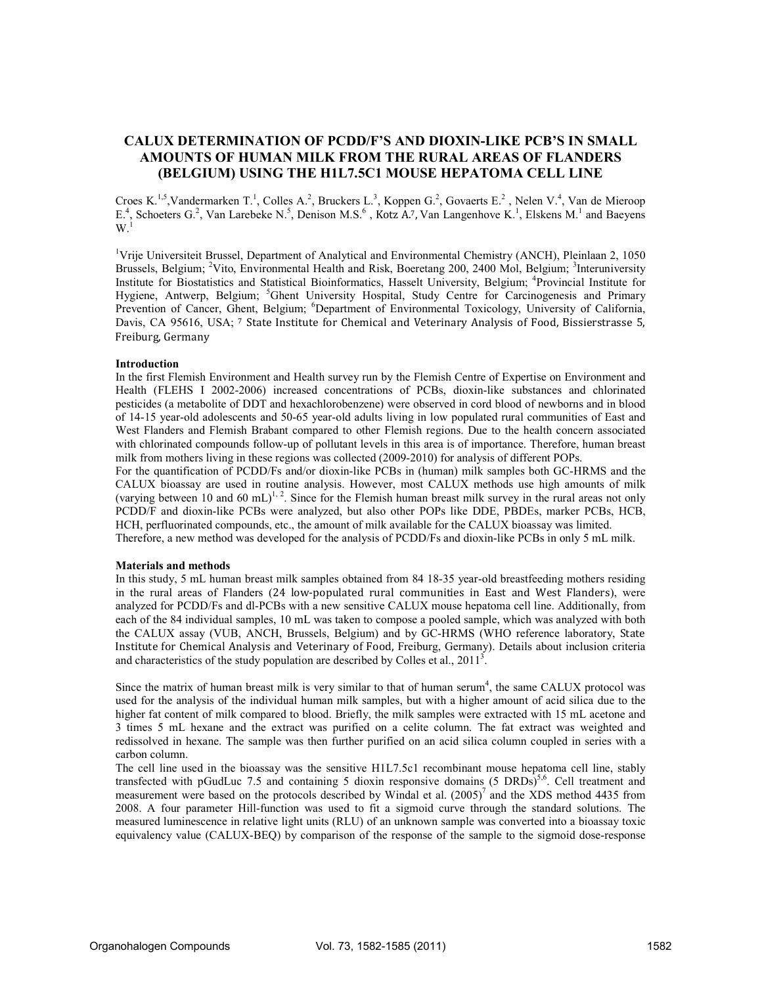# CALUX DETERMI
ATIO
 OF PCDD/F'S A
D DIOXI
-LIKE PCB'S I
 SMALL AMOU
TS OF HUMA
 MILK FROM THE RURAL AREAS OF FLA
DERS (BELGIUM) USING THE H1L7.5C1 MOUSE HEPATOMA CELL LINE

Croes K.<sup>1,5</sup>,Vandermarken T.<sup>1</sup>, Colles A.<sup>2</sup>, Bruckers L.<sup>3</sup>, Koppen G.<sup>2</sup>, Govaerts E.<sup>2</sup>, Nelen V.<sup>4</sup>, Van de Mieroop E.<sup>4</sup>, Schoeters G.<sup>2</sup>, Van Larebeke N.<sup>5</sup>, Denison M.S.<sup>6</sup>, Kotz A.7, Van Langenhove K.<sup>1</sup>, Elskens M.<sup>1</sup> and Baeyens  $W^{\frac{3}{1}}$ 

<sup>1</sup>Vrije Universiteit Brussel, Department of Analytical and Environmental Chemistry (ANCH), Pleinlaan 2, 1050 Brussels, Belgium; <sup>2</sup>Vito, Environmental Health and Risk, Boeretang 200, 2400 Mol, Belgium; <sup>3</sup>Interuniversity Institute for Biostatistics and Statistical Bioinformatics, Hasselt University, Belgium; <sup>4</sup>Provincial Institute for Hygiene, Antwerp, Belgium; <sup>5</sup>Ghent University Hospital, Study Centre for Carcinogenesis and Primary Prevention of Cancer, Ghent, Belgium; <sup>6</sup>Department of Environmental Toxicology, University of California, Davis, CA 95616, USA; 7 State Institute for Chemical and Veterinary Analysis of Food, Bissierstrasse 5, Freiburg, Germany

# Introduction

In the first Flemish Environment and Health survey run by the Flemish Centre of Expertise on Environment and Health (FLEHS I 2002-2006) increased concentrations of PCBs, dioxin-like substances and chlorinated pesticides (a metabolite of DDT and hexachlorobenzene) were observed in cord blood of newborns and in blood of 14-15 year-old adolescents and 50-65 year-old adults living in low populated rural communities of East and West Flanders and Flemish Brabant compared to other Flemish regions. Due to the health concern associated with chlorinated compounds follow-up of pollutant levels in this area is of importance. Therefore, human breast milk from mothers living in these regions was collected (2009-2010) for analysis of different POPs.

For the quantification of PCDD/Fs and/or dioxin-like PCBs in (human) milk samples both GC-HRMS and the CALUX bioassay are used in routine analysis. However, most CALUX methods use high amounts of milk (varying between 10 and 60 mL)<sup>1, 2</sup>. Since for the Flemish human breast milk survey in the rural areas not only PCDD/F and dioxin-like PCBs were analyzed, but also other POPs like DDE, PBDEs, marker PCBs, HCB, HCH, perfluorinated compounds, etc., the amount of milk available for the CALUX bioassay was limited. Therefore, a new method was developed for the analysis of PCDD/Fs and dioxin-like PCBs in only 5 mL milk.

# Materials and methods

In this study, 5 mL human breast milk samples obtained from 84 18-35 year-old breastfeeding mothers residing in the rural areas of Flanders (24 low-populated rural communities in East and West Flanders), were analyzed for PCDD/Fs and dl-PCBs with a new sensitive CALUX mouse hepatoma cell line. Additionally, from each of the 84 individual samples, 10 mL was taken to compose a pooled sample, which was analyzed with both the CALUX assay (VUB, ANCH, Brussels, Belgium) and by GC-HRMS (WHO reference laboratory, State Institute for Chemical Analysis and Veterinary of Food, Freiburg, Germany). Details about inclusion criteria and characteristics of the study population are described by Colles et al.,  $2011<sup>3</sup>$ .

Since the matrix of human breast milk is very similar to that of human serum<sup>4</sup>, the same CALUX protocol was used for the analysis of the individual human milk samples, but with a higher amount of acid silica due to the higher fat content of milk compared to blood. Briefly, the milk samples were extracted with 15 mL acetone and 3 times 5 mL hexane and the extract was purified on a celite column. The fat extract was weighted and redissolved in hexane. The sample was then further purified on an acid silica column coupled in series with a carbon column.

The cell line used in the bioassay was the sensitive H1L7.5c1 recombinant mouse hepatoma cell line, stably transfected with pGudLuc 7.5 and containing 5 dioxin responsive domains (5 DRDs)<sup>5,6</sup>. Cell treatment and measurement were based on the protocols described by Windal et al.  $(2005)^7$  and the XDS method 4435 from 2008. A four parameter Hill-function was used to fit a sigmoid curve through the standard solutions. The measured luminescence in relative light units (RLU) of an unknown sample was converted into a bioassay toxic equivalency value (CALUX-BEQ) by comparison of the response of the sample to the sigmoid dose-response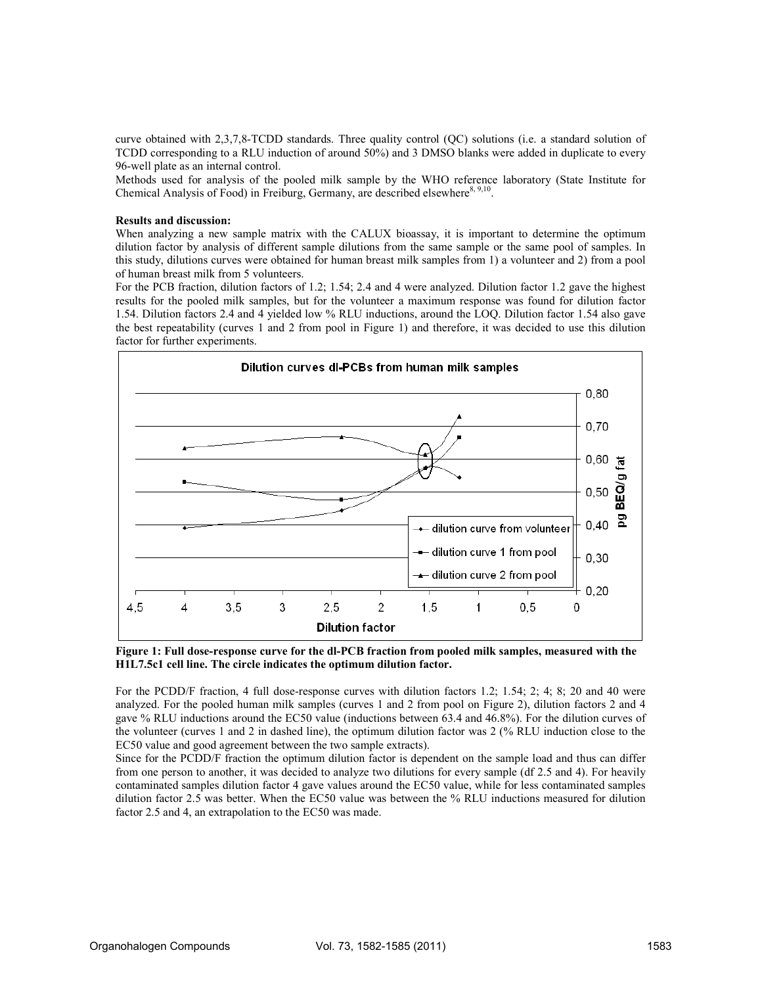curve obtained with 2,3,7,8-TCDD standards. Three quality control (QC) solutions (i.e. a standard solution of TCDD corresponding to a RLU induction of around 50%) and 3 DMSO blanks were added in duplicate to every 96-well plate as an internal control.

Methods used for analysis of the pooled milk sample by the WHO reference laboratory (State Institute for Chemical Analysis of Food) in Freiburg, Germany, are described elsewhere<sup>8, 9,10</sup>.

# Results and discussion:

When analyzing a new sample matrix with the CALUX bioassay, it is important to determine the optimum dilution factor by analysis of different sample dilutions from the same sample or the same pool of samples. In this study, dilutions curves were obtained for human breast milk samples from 1) a volunteer and 2) from a pool of human breast milk from 5 volunteers.

For the PCB fraction, dilution factors of 1.2; 1.54; 2.4 and 4 were analyzed. Dilution factor 1.2 gave the highest results for the pooled milk samples, but for the volunteer a maximum response was found for dilution factor 1.54. Dilution factors 2.4 and 4 yielded low % RLU inductions, around the LOQ. Dilution factor 1.54 also gave the best repeatability (curves 1 and 2 from pool in Figure 1) and therefore, it was decided to use this dilution factor for further experiments.



Figure 1: Full dose-response curve for the dl-PCB fraction from pooled milk samples, measured with the H1L7.5c1 cell line. The circle indicates the optimum dilution factor.

For the PCDD/F fraction, 4 full dose-response curves with dilution factors 1.2; 1.54; 2; 4; 8; 20 and 40 were analyzed. For the pooled human milk samples (curves 1 and 2 from pool on Figure 2), dilution factors 2 and 4 gave % RLU inductions around the EC50 value (inductions between 63.4 and 46.8%). For the dilution curves of the volunteer (curves 1 and 2 in dashed line), the optimum dilution factor was 2 (% RLU induction close to the EC50 value and good agreement between the two sample extracts).

Since for the PCDD/F fraction the optimum dilution factor is dependent on the sample load and thus can differ from one person to another, it was decided to analyze two dilutions for every sample (df 2.5 and 4). For heavily contaminated samples dilution factor 4 gave values around the EC50 value, while for less contaminated samples dilution factor 2.5 was better. When the EC50 value was between the % RLU inductions measured for dilution factor 2.5 and 4, an extrapolation to the EC50 was made.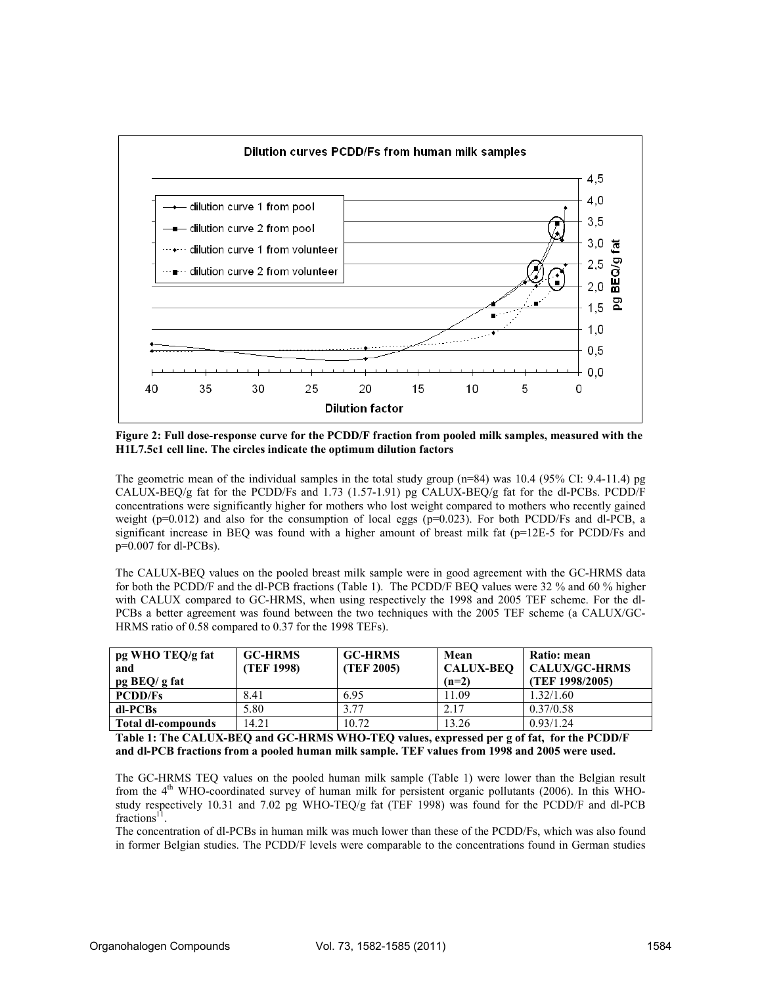

Figure 2: Full dose-response curve for the PCDD/F fraction from pooled milk samples, measured with the H1L7.5c1 cell line. The circles indicate the optimum dilution factors

The geometric mean of the individual samples in the total study group (n=84) was 10.4 (95% CI: 9.4-11.4) pg CALUX-BEQ/g fat for the PCDD/Fs and 1.73 (1.57-1.91) pg CALUX-BEQ/g fat for the dl-PCBs. PCDD/F concentrations were significantly higher for mothers who lost weight compared to mothers who recently gained weight ( $p=0.012$ ) and also for the consumption of local eggs ( $p=0.023$ ). For both PCDD/Fs and dl-PCB, a significant increase in BEQ was found with a higher amount of breast milk fat (p=12E-5 for PCDD/Fs and p=0.007 for dl-PCBs).

The CALUX-BEQ values on the pooled breast milk sample were in good agreement with the GC-HRMS data for both the PCDD/F and the dl-PCB fractions (Table 1). The PCDD/F BEQ values were 32 % and 60 % higher with CALUX compared to GC-HRMS, when using respectively the 1998 and 2005 TEF scheme. For the dl-PCBs a better agreement was found between the two techniques with the 2005 TEF scheme (a CALUX/GC-HRMS ratio of 0.58 compared to 0.37 for the 1998 TEFs).

| pg WHO TEQ/g fat<br>and<br>$pg$ BEQ/ g fat | <b>GC-HRMS</b><br>(TEF 1998) | <b>GC-HRMS</b><br>(TEF 2005) | Mean<br><b>CALUX-BEO</b><br>$(n=2)$ | Ratio: mean<br><b>CALUX/GC-HRMS</b><br>(TEF 1998/2005) |
|--------------------------------------------|------------------------------|------------------------------|-------------------------------------|--------------------------------------------------------|
| <b>PCDD/Fs</b>                             | 8.41                         | 6.95                         | 1.09                                | 1.32/1.60                                              |
| dl-PCBs                                    | 5.80                         | 3.77                         | 2.17                                | 0.37/0.58                                              |
| <b>Total dl-compounds</b>                  | 14.21                        | 10.72                        | 13.26                               | 0.93/1.24                                              |

Table 1: The CALUX-BEQ and GC-HRMS WHO-TEQ values, expressed per g of fat, for the PCDD/F and dl-PCB fractions from a pooled human milk sample. TEF values from 1998 and 2005 were used.

The GC-HRMS TEQ values on the pooled human milk sample (Table 1) were lower than the Belgian result from the 4th WHO-coordinated survey of human milk for persistent organic pollutants (2006). In this WHOstudy respectively 10.31 and 7.02 pg WHO-TEQ/g fat (TEF 1998) was found for the PCDD/F and dl-PCB fractions<sup>11</sup>.

The concentration of dl-PCBs in human milk was much lower than these of the PCDD/Fs, which was also found in former Belgian studies. The PCDD/F levels were comparable to the concentrations found in German studies